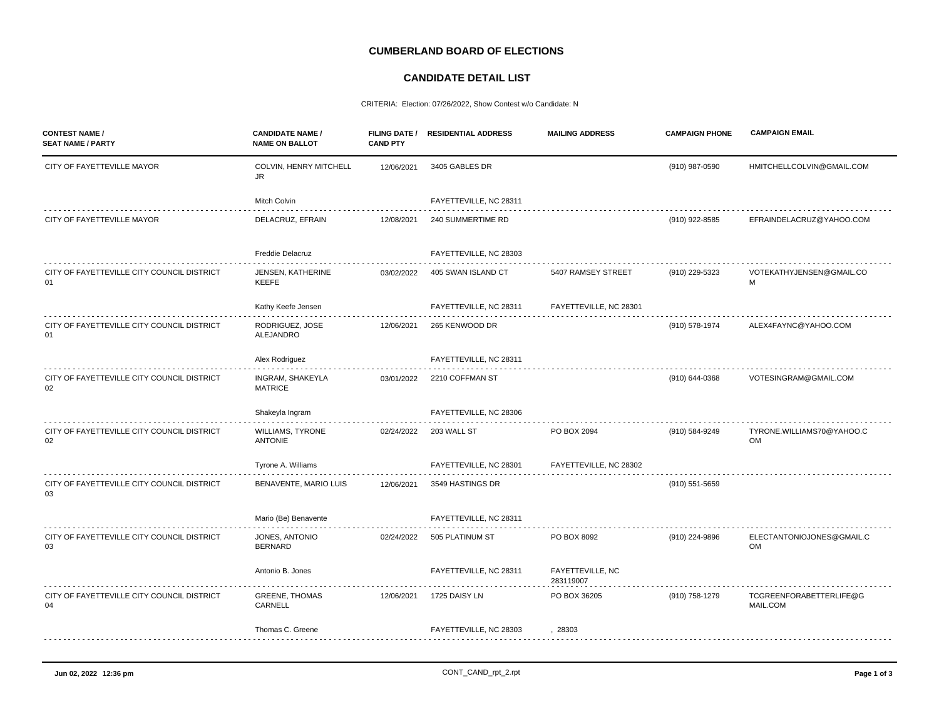## **CUMBERLAND BOARD OF ELECTIONS**

## **CANDIDATE DETAIL LIST**

CRITERIA: Election: 07/26/2022, Show Contest w/o Candidate: N

| <b>CONTEST NAME /</b><br><b>SEAT NAME / PARTY</b> | <b>CANDIDATE NAME /</b><br><b>NAME ON BALLOT</b> | <b>CAND PTY</b> | FILING DATE / RESIDENTIAL ADDRESS | <b>MAILING ADDRESS</b>        | <b>CAMPAIGN PHONE</b> | <b>CAMPAIGN EMAIL</b>               |
|---------------------------------------------------|--------------------------------------------------|-----------------|-----------------------------------|-------------------------------|-----------------------|-------------------------------------|
| CITY OF FAYETTEVILLE MAYOR                        | COLVIN, HENRY MITCHELL<br>JR.                    | 12/06/2021      | 3405 GABLES DR                    |                               | (910) 987-0590        | HMITCHELLCOLVIN@GMAIL.COM           |
|                                                   | Mitch Colvin                                     |                 | FAYETTEVILLE, NC 28311            |                               |                       |                                     |
| CITY OF FAYETTEVILLE MAYOR                        | DELACRUZ, EFRAIN                                 | 12/08/2021      | 240 SUMMERTIME RD                 |                               | (910) 922-8585        | EFRAINDELACRUZ@YAHOO.COM            |
|                                                   | Freddie Delacruz                                 |                 | FAYETTEVILLE, NC 28303            |                               |                       |                                     |
| CITY OF FAYETTEVILLE CITY COUNCIL DISTRICT<br>01  | <b>JENSEN, KATHERINE</b><br><b>KEEFE</b>         | 03/02/2022      | 405 SWAN ISLAND CT                | 5407 RAMSEY STREET            | (910) 229-5323        | VOTEKATHYJENSEN@GMAIL.CO<br>M       |
|                                                   | Kathy Keefe Jensen                               |                 | FAYETTEVILLE, NC 28311            | FAYETTEVILLE, NC 28301        |                       |                                     |
| CITY OF FAYETTEVILLE CITY COUNCIL DISTRICT<br>01  | RODRIGUEZ, JOSE<br>ALEJANDRO                     | 12/06/2021      | 265 KENWOOD DR                    |                               | (910) 578-1974        | ALEX4FAYNC@YAHOO.COM                |
|                                                   | Alex Rodriguez                                   |                 | FAYETTEVILLE, NC 28311            |                               |                       |                                     |
| CITY OF FAYETTEVILLE CITY COUNCIL DISTRICT<br>02  | INGRAM, SHAKEYLA<br><b>MATRICE</b>               | 03/01/2022      | 2210 COFFMAN ST                   |                               | (910) 644-0368        | VOTESINGRAM@GMAIL.COM               |
|                                                   | Shakeyla Ingram                                  |                 | FAYETTEVILLE, NC 28306            |                               |                       |                                     |
| CITY OF FAYETTEVILLE CITY COUNCIL DISTRICT<br>02  | <b>WILLIAMS, TYRONE</b><br><b>ANTONIE</b>        | 02/24/2022      | 203 WALL ST                       | PO BOX 2094                   | (910) 584-9249        | TYRONE.WILLIAMS70@YAHOO.C<br>OM     |
|                                                   | Tyrone A. Williams                               |                 | FAYETTEVILLE, NC 28301            | FAYETTEVILLE, NC 28302        |                       |                                     |
| CITY OF FAYETTEVILLE CITY COUNCIL DISTRICT<br>03  | BENAVENTE, MARIO LUIS                            | 12/06/2021      | 3549 HASTINGS DR                  |                               | (910) 551-5659        |                                     |
|                                                   | Mario (Be) Benavente                             |                 | FAYETTEVILLE, NC 28311            |                               |                       |                                     |
| CITY OF FAYETTEVILLE CITY COUNCIL DISTRICT<br>03  | JONES, ANTONIO<br><b>BERNARD</b>                 | 02/24/2022      | 505 PLATINUM ST                   | PO BOX 8092                   | (910) 224-9896        | ELECTANTONIOJONES@GMAIL.C<br>OM     |
|                                                   | Antonio B. Jones                                 |                 | FAYETTEVILLE, NC 28311            | FAYETTEVILLE, NC<br>283119007 |                       |                                     |
| CITY OF FAYETTEVILLE CITY COUNCIL DISTRICT<br>04  | <b>GREENE, THOMAS</b><br>CARNELL                 | 12/06/2021      | 1725 DAISY LN                     | PO BOX 36205                  | (910) 758-1279        | TCGREENFORABETTERLIFE@G<br>MAIL.COM |
|                                                   | Thomas C. Greene                                 |                 | FAYETTEVILLE, NC 28303            | 28303                         |                       |                                     |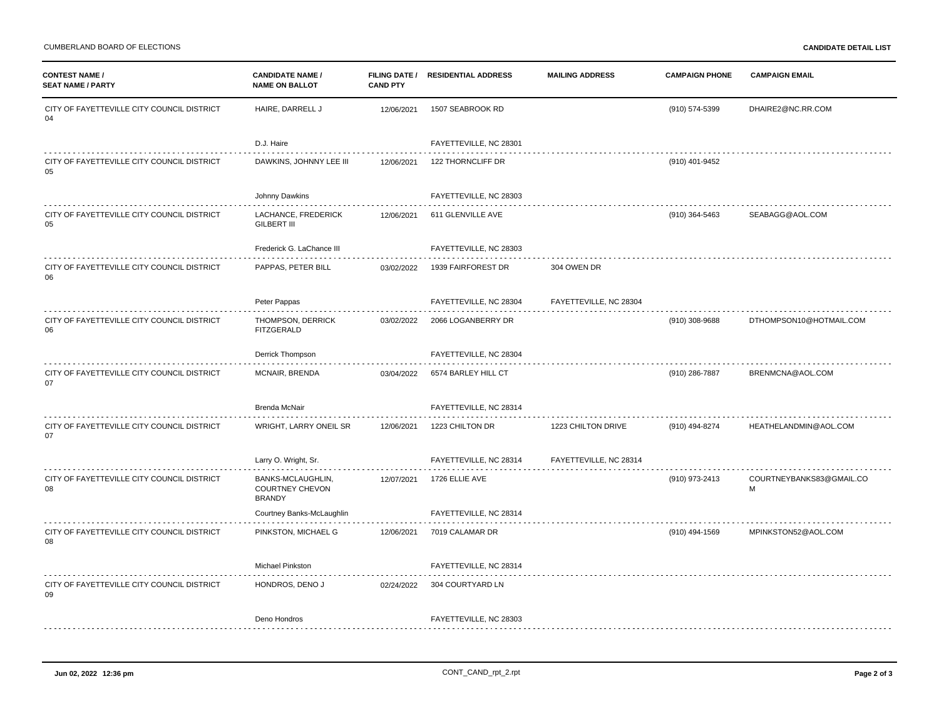| <b>CONTEST NAME /</b><br><b>SEAT NAME / PARTY</b> | <b>CANDIDATE NAME /</b><br><b>NAME ON BALLOT</b>             | <b>CAND PTY</b> | FILING DATE / RESIDENTIAL ADDRESS | <b>MAILING ADDRESS</b> | <b>CAMPAIGN PHONE</b> | <b>CAMPAIGN EMAIL</b>         |
|---------------------------------------------------|--------------------------------------------------------------|-----------------|-----------------------------------|------------------------|-----------------------|-------------------------------|
| CITY OF FAYETTEVILLE CITY COUNCIL DISTRICT<br>04  | HAIRE, DARRELL J                                             | 12/06/2021      | 1507 SEABROOK RD                  |                        | (910) 574-5399        | DHAIRE2@NC.RR.COM             |
|                                                   | D.J. Haire                                                   |                 | FAYETTEVILLE, NC 28301            |                        |                       |                               |
| CITY OF FAYETTEVILLE CITY COUNCIL DISTRICT<br>05  | DAWKINS, JOHNNY LEE III                                      | 12/06/2021      | 122 THORNCLIFF DR                 |                        | (910) 401-9452        |                               |
|                                                   | Johnny Dawkins                                               |                 | FAYETTEVILLE, NC 28303<br>.       |                        |                       |                               |
| CITY OF FAYETTEVILLE CITY COUNCIL DISTRICT<br>05  | LACHANCE, FREDERICK<br><b>GILBERT III</b>                    | 12/06/2021      | 611 GLENVILLE AVE                 |                        | (910) 364-5463        | SEABAGG@AOL.COM               |
|                                                   | Frederick G. LaChance III                                    |                 | FAYETTEVILLE, NC 28303            |                        |                       |                               |
| CITY OF FAYETTEVILLE CITY COUNCIL DISTRICT<br>06  | PAPPAS, PETER BILL                                           | 03/02/2022      | 1939 FAIRFOREST DR                | 304 OWEN DR            |                       |                               |
|                                                   | Peter Pappas                                                 |                 | FAYETTEVILLE, NC 28304            | FAYETTEVILLE, NC 28304 |                       |                               |
| CITY OF FAYETTEVILLE CITY COUNCIL DISTRICT<br>06  | THOMPSON, DERRICK<br>FITZGERALD                              | 03/02/2022      | 2066 LOGANBERRY DR                |                        | (910) 308-9688        | DTHOMPSON10@HOTMAIL.COM       |
|                                                   | Derrick Thompson                                             |                 | FAYETTEVILLE, NC 28304            |                        |                       |                               |
| CITY OF FAYETTEVILLE CITY COUNCIL DISTRICT<br>07  | MCNAIR, BRENDA                                               | 03/04/2022      | 6574 BARLEY HILL CT               |                        | (910) 286-7887        | BRENMCNA@AOL.COM              |
|                                                   | <b>Brenda McNair</b>                                         |                 | FAYETTEVILLE, NC 28314            |                        |                       |                               |
| CITY OF FAYETTEVILLE CITY COUNCIL DISTRICT<br>07  | WRIGHT, LARRY ONEIL SR                                       | 12/06/2021      | 1223 CHILTON DR                   | 1223 CHILTON DRIVE     | (910) 494-8274        | HEATHELANDMIN@AOL.COM         |
|                                                   | Larry O. Wright, Sr.                                         |                 | FAYETTEVILLE, NC 28314            | FAYETTEVILLE, NC 28314 |                       |                               |
| CITY OF FAYETTEVILLE CITY COUNCIL DISTRICT<br>08  | BANKS-MCLAUGHLIN,<br><b>COURTNEY CHEVON</b><br><b>BRANDY</b> | 12/07/2021      | 1726 ELLIE AVE                    |                        | (910) 973-2413        | COURTNEYBANKS83@GMAIL.CO<br>M |
|                                                   | Courtney Banks-McLaughlin                                    |                 | FAYETTEVILLE, NC 28314            |                        |                       |                               |
| CITY OF FAYETTEVILLE CITY COUNCIL DISTRICT<br>08  | PINKSTON, MICHAEL G                                          | 12/06/2021      | 7019 CALAMAR DR                   |                        | (910) 494-1569        | MPINKSTON52@AOL.COM           |
|                                                   | Michael Pinkston                                             |                 | FAYETTEVILLE, NC 28314            |                        |                       |                               |
| CITY OF FAYETTEVILLE CITY COUNCIL DISTRICT<br>09  | HONDROS, DENO J                                              | 02/24/2022      | 304 COURTYARD LN                  |                        |                       |                               |
|                                                   | Deno Hondros                                                 |                 | FAYETTEVILLE, NC 28303            |                        |                       |                               |